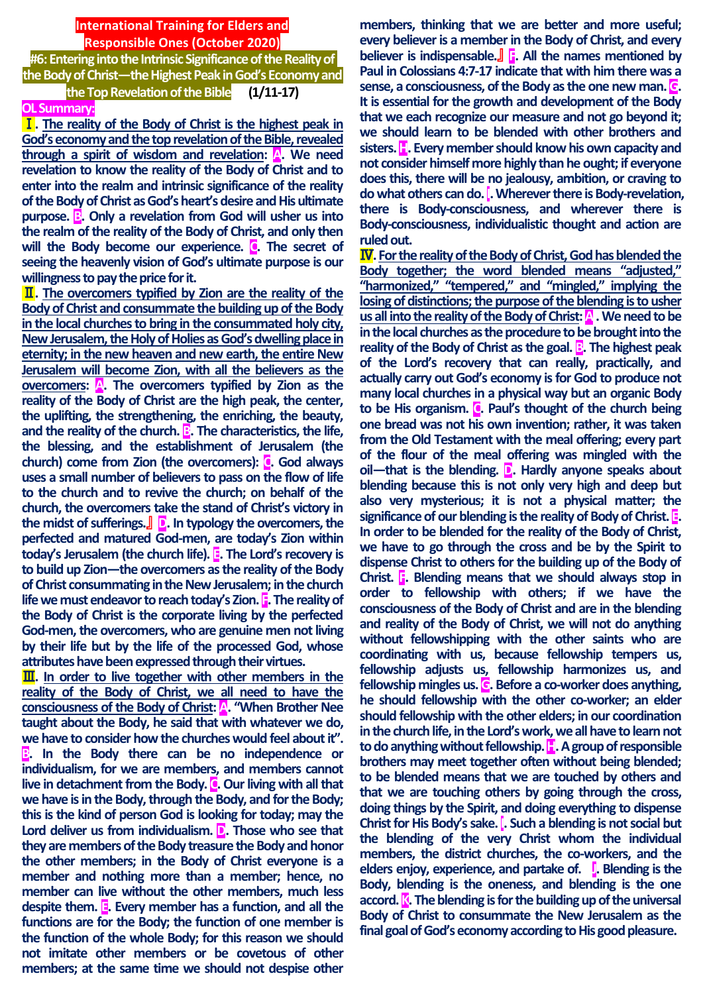## **International Training for Elders and Responsible Ones (October 2020)**

**#6: Entering into the Intrinsic Significance of the Reality of the Body of Christ—the Highest Peak in God's Economy and the Top Revelation of the Bible (1/11-17)**

#### **OL Summary:**

Ⅰ**. The reality of the Body of Christ is the highest peak in God's economy and the top revelation of the Bible, revealed through a spirit of wisdom and revelation: A. We need revelation to know the reality of the Body of Christ and to enter into the realm and intrinsic significance of the reality of the Body of Christ as God's heart's desire and His ultimate purpose. B. Only a revelation from God will usher us into the realm of the reality of the Body of Christ, and only then**  will the Body become our experience. **C**. The secret of **seeing the heavenly vision of God's ultimate purpose is our willingness to pay the price for it.**

Ⅱ**. The overcomers typified by Zion are the reality of the Body of Christ and consummate the building up of the Body in the local churches to bring in the consummated holy city, New Jerusalem, the Holy of Holies as God's dwelling place in eternity; in the new heaven and new earth, the entire New Jerusalem will become Zion, with all the believers as the overcomers: A. The overcomers typified by Zion as the reality of the Body of Christ are the high peak, the center, the uplifting, the strengthening, the enriching, the beauty,**  and the reality of the church. **B**. The characteristics, the life, **the blessing, and the establishment of Jerusalem (the church) come from Zion (the overcomers): C. God always uses a small number of believers to pass on the flow of life to the church and to revive the church; on behalf of the church, the overcomers take the stand of Christ's victory in the midst of sufferings.**』 **D. In typology the overcomers, the perfected and matured God-men, are today's Zion within today's Jerusalem (the church life). E. The Lord's recovery is to build up Zion—the overcomers as the reality of the Body of Christ consummating in the New Jerusalem; in the church life we must endeavor to reach today's Zion. F. The reality of the Body of Christ is the corporate living by the perfected God-men, the overcomers, who are genuine men not living by their life but by the life of the processed God, whose attributes have been expressed through their virtues.**

**III.** In order to live together with other members in the **reality of the Body of Christ, we all need to have the consciousness of the Body of Christ: A. "When Brother Nee taught about the Body, he said that with whatever we do, we have to consider how the churches would feel about it". B. In the Body there can be no independence or individualism, for we are members, and members cannot live in detachment from the Body. C. Our living with all that we have is in the Body, through the Body, and for the Body; this is the kind of person God is looking for today; may the**  Lord deliver us from individualism. **D.** Those who see that **they are members of the Body treasure the Body and honor the other members; in the Body of Christ everyone is a member and nothing more than a member; hence, no member can live without the other members, much less despite them. E. Every member has a function, and all the functions are for the Body; the function of one member is the function of the whole Body; for this reason we should not imitate other members or be covetous of other members; at the same time we should not despise other** 

**members, thinking that we are better and more useful; every believer is a member in the Body of Christ, and every believer is indispensable.**』 **F. All the names mentioned by Paul in Colossians 4:7-17 indicate that with him there was a sense, a consciousness, of the Body as the one new man. G. It is essential for the growth and development of the Body that we each recognize our measure and not go beyond it; we should learn to be blended with other brothers and sisters. H. Every member should know his own capacity and not consider himself more highly than he ought; if everyone does this, there will be no jealousy, ambition, or craving to do what others can do. I. Wherever there is Body-revelation, there is Body-consciousness, and wherever there is Body-consciousness, individualistic thought and action are ruled out.**

**IV**. For the reality of the Body of Christ, God has blended the **Body together; the word blended means "adjusted," "harmonized," "tempered," and "mingled," implying the losing of distinctions; the purpose of the blending is to usher**  us all into the reality of the Body of Christ: **A**. We need to be **in the local churches as the procedure to be brought into the reality of the Body of Christ as the goal. <b>B**. The highest peak **of the Lord's recovery that can really, practically, and actually carry out God's economy is for God to produce not many local churches in a physical way but an organic Body to be His organism. C. Paul's thought of the church being one bread was not his own invention; rather, it was taken from the Old Testament with the meal offering; every part of the flour of the meal offering was mingled with the oil—that is the blending. D. Hardly anyone speaks about blending because this is not only very high and deep but also very mysterious; it is not a physical matter; the significance of our blending is the reality of Body of Christ. E. In order to be blended for the reality of the Body of Christ, we have to go through the cross and be by the Spirit to dispense Christ to others for the building up of the Body of Christ. F. Blending means that we should always stop in order to fellowship with others; if we have the consciousness of the Body of Christ and are in the blending and reality of the Body of Christ, we will not do anything without fellowshipping with the other saints who are coordinating with us, because fellowship tempers us, fellowship adjusts us, fellowship harmonizes us, and fellowship mingles us. G. Before a co-worker does anything, he should fellowship with the other co-worker; an elder should fellowship with the other elders; in our coordination in the church life, inthe Lord's work, we all have to learn not to do anything without fellowship. H. A group of responsible brothers may meet together often without being blended; to be blended means that we are touched by others and that we are touching others by going through the cross, doing things by the Spirit, and doing everything to dispense Christ for His Body's sake. I. Such a blending is not social but the blending of the very Christ whom the individual members, the district churches, the co-workers, and the elders enjoy, experience, and partake of. J. Blending is the Body, blending is the oneness, and blending is the one accord. K. The blending is for the building up of the universal Body of Christ to consummate the New Jerusalem as the final goal of God's economy according to His good pleasure.**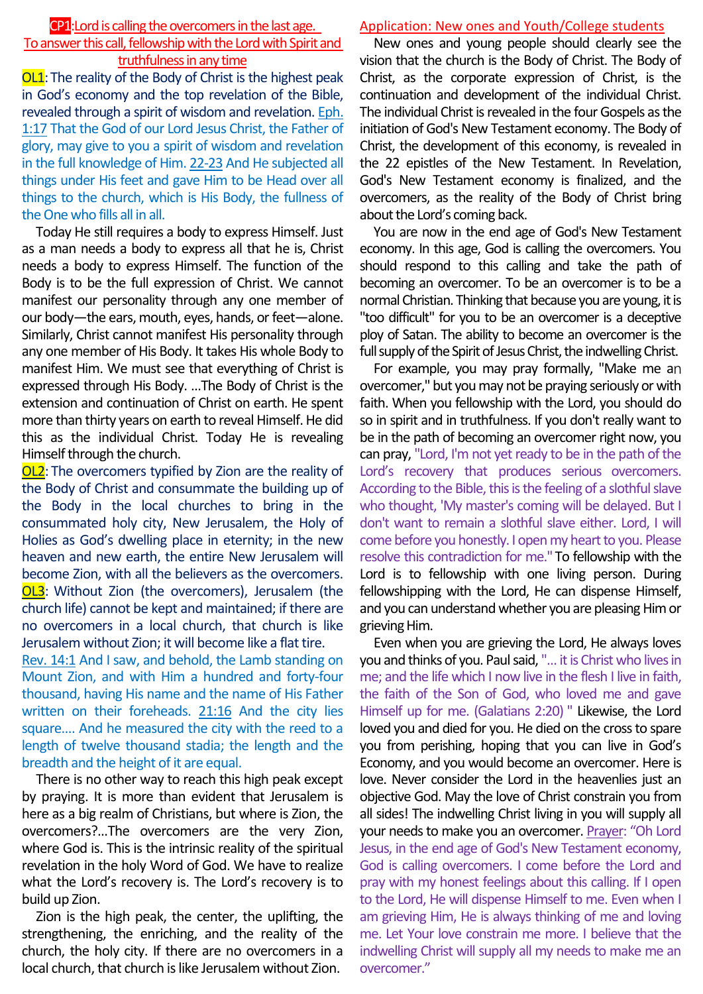#### CP1:Lord is calling the overcomers in the last age.

# To answer this call, fellowship with the Lord with Spirit and truthfulness in any time

OL1: The reality of the Body of Christ is the highest peak in God's economy and the top revelation of the Bible, revealed through a spirit of wisdom and revelation. Eph. 1:17 That the God of our Lord Jesus Christ, the Father of glory, may give to you a spirit of wisdom and revelation in the full knowledge of Him. 22-23 And He subjected all things under His feet and gave Him to be Head over all things to the church, which is His Body, the fullness of the One who fills all in all.

Today He still requires a body to express Himself. Just as a man needs a body to express all that he is, Christ needs a body to express Himself. The function of the Body is to be the full expression of Christ. We cannot manifest our personality through any one member of our body—the ears, mouth, eyes, hands, or feet—alone. Similarly, Christ cannot manifest His personality through any one member of His Body. It takes His whole Body to manifest Him. We must see that everything of Christ is expressed through His Body. …The Body of Christ is the extension and continuation of Christ on earth. He spent more than thirty years on earth to reveal Himself. He did this as the individual Christ. Today He is revealing Himself through the church.

OL2: The overcomers typified by Zion are the reality of the Body of Christ and consummate the building up of the Body in the local churches to bring in the consummated holy city, New Jerusalem, the Holy of Holies as God's dwelling place in eternity; in the new heaven and new earth, the entire New Jerusalem will become Zion, with all the believers as the overcomers. OL3: Without Zion (the overcomers), Jerusalem (the church life) cannot be kept and maintained; if there are no overcomers in a local church, that church is like Jerusalem without Zion; it will become like a flat tire.

Rev. 14:1 And I saw, and behold, the Lamb standing on Mount Zion, and with Him a hundred and forty-four thousand, having His name and the name of His Father written on their foreheads. 21:16 And the city lies square…. And he measured the city with the reed to a length of twelve thousand stadia; the length and the breadth and the height of it are equal.

There is no other way to reach this high peak except by praying. It is more than evident that Jerusalem is here as a big realm of Christians, but where is Zion, the overcomers?…The overcomers are the very Zion, where God is. This is the intrinsic reality of the spiritual revelation in the holy Word of God. We have to realize what the Lord's recovery is. The Lord's recovery is to build up Zion.

Zion is the high peak, the center, the uplifting, the strengthening, the enriching, and the reality of the church, the holy city. If there are no overcomers in a local church, that church is like Jerusalem without Zion.

## Application: New ones and Youth/College students

New ones and young people should clearly see the vision that the church is the Body of Christ. The Body of Christ, as the corporate expression of Christ, is the continuation and development of the individual Christ. The individual Christ is revealed in the four Gospels as the initiation of God's New Testament economy. The Body of Christ, the development of this economy, is revealed in the 22 epistles of the New Testament. In Revelation, God's New Testament economy is finalized, and the overcomers, as the reality of the Body of Christ bring about the Lord's coming back.

You are now in the end age of God's New Testament economy. In this age, God is calling the overcomers. You should respond to this calling and take the path of becoming an overcomer. To be an overcomer is to be a normal Christian. Thinking that because you are young, it is "too difficult" for you to be an overcomer is a deceptive ploy of Satan. The ability to become an overcomer is the full supply of the Spirit of Jesus Christ, the indwelling Christ.

For example, you may pray formally, "Make me an overcomer," but you may not be praying seriously or with faith. When you fellowship with the Lord, you should do so in spirit and in truthfulness. If you don't really want to be in the path of becoming an overcomer right now, you can pray, "Lord, I'm not yet ready to be in the path of the Lord's recovery that produces serious overcomers. According to the Bible, this is the feeling of a slothful slave who thought, 'My master's coming will be delayed. But I don't want to remain a slothful slave either. Lord, I will come before you honestly. I open my heart to you. Please resolve this contradiction for me." To fellowship with the Lord is to fellowship with one living person. During fellowshipping with the Lord, He can dispense Himself, and you can understand whether you are pleasing Him or grieving Him.

Even when you are grieving the Lord, He always loves you and thinks of you. Paul said, "… it is Christ who lives in me; and the life which I now live in the flesh I live in faith, the faith of the Son of God, who loved me and gave Himself up for me. (Galatians 2:20) " Likewise, the Lord loved you and died for you. He died on the cross to spare you from perishing, hoping that you can live in God's Economy, and you would become an overcomer. Here is love. Never consider the Lord in the heavenlies just an objective God. May the love of Christ constrain you from all sides! The indwelling Christ living in you will supply all your needs to make you an overcomer. Prayer: "Oh Lord Jesus, in the end age of God's New Testament economy, God is calling overcomers. I come before the Lord and pray with my honest feelings about this calling. If I open to the Lord, He will dispense Himself to me. Even when I am grieving Him, He is always thinking of me and loving me. Let Your love constrain me more. I believe that the indwelling Christ will supply all my needs to make me an overcomer."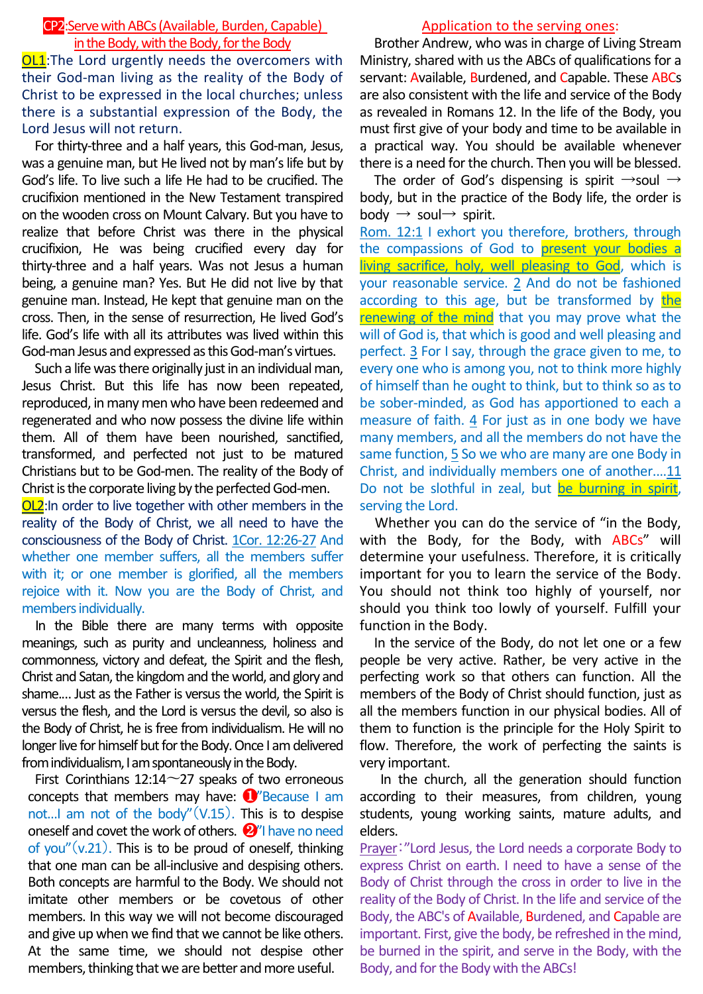# CP2:Serve with ABCs(Available, Burden, Capable) in the Body, with the Body, for the Body

OL1:The Lord urgently needs the overcomers with their God-man living as the reality of the Body of Christ to be expressed in the local churches; unless there is a substantial expression of the Body, the Lord Jesus will not return.

For thirty-three and a half years, this God-man, Jesus, was a genuine man, but He lived not by man's life but by God's life. To live such a life He had to be crucified. The crucifixion mentioned in the New Testament transpired on the wooden cross on Mount Calvary. But you have to realize that before Christ was there in the physical crucifixion, He was being crucified every day for thirty-three and a half years. Was not Jesus a human being, a genuine man? Yes. But He did not live by that genuine man. Instead, He kept that genuine man on the cross. Then, in the sense of resurrection, He lived God's life. God's life with all its attributes was lived within this God-man Jesus and expressed as this God-man's virtues.

Such a life was there originally just in an individual man, Jesus Christ. But this life has now been repeated, reproduced, in many men who have been redeemed and regenerated and who now possess the divine life within them. All of them have been nourished, sanctified, transformed, and perfected not just to be matured Christians but to be God-men. The reality of the Body of Christ is the corporate living by the perfected God-men.

OL2:In order to live together with other members in the reality of the Body of Christ, we all need to have the consciousness of the Body of Christ. 1Cor. 12:26-27 And whether one member suffers, all the members suffer with it; or one member is glorified, all the members rejoice with it. Now you are the Body of Christ, and members individually.

In the Bible there are many terms with opposite meanings, such as purity and uncleanness, holiness and commonness, victory and defeat, the Spirit and the flesh, Christ and Satan, the kingdom and the world, and glory and shame.… Just as the Father is versus the world, the Spirit is versus the flesh, and the Lord is versus the devil, so also is the Body of Christ, he is free from individualism. He will no longer live for himself but for the Body. Once I am delivered from individualism, I am spontaneously in the Body.

First Corinthians 12:14 $\sim$ 27 speaks of two erroneous concepts that members may have: ❶"Because I am not...I am not of the body" $(V.15)$ . This is to despise oneself and covet the work of others. ❷"I have no need of you" $(v.21)$ . This is to be proud of oneself, thinking that one man can be all-inclusive and despising others. Both concepts are harmful to the Body. We should not imitate other members or be covetous of other members. In this way we will not become discouraged and give up when we find that we cannot be like others. At the same time, we should not despise other members, thinking that we are better and more useful.

### Application to the serving ones:

Brother Andrew, who was in charge of Living Stream Ministry, shared with us the ABCs of qualifications for a servant: Available, Burdened, and Capable. These ABCs are also consistent with the life and service of the Body as revealed in Romans 12. In the life of the Body, you must first give of your body and time to be available in a practical way. You should be available whenever there is a need for the church. Then you will be blessed.

The order of God's dispensing is spirit  $\rightarrow$ soul  $\rightarrow$ body, but in the practice of the Body life, the order is body  $\rightarrow$  soul $\rightarrow$  spirit.

Rom. 12:1 I exhort you therefore, brothers, through the compassions of God to present your bodies a living sacrifice, holy, well pleasing to God, which is your reasonable service. 2 And do not be fashioned according to this age, but be transformed by the renewing of the mind that you may prove what the will of God is, that which is good and well pleasing and perfect. 3 For I say, through the grace given to me, to every one who is among you, not to think more highly of himself than he ought to think, but to think so as to be sober-minded, as God has apportioned to each a measure of faith. 4 For just as in one body we have many members, and all the members do not have the same function, 5 So we who are many are one Body in Christ, and individually members one of another.…11 Do not be slothful in zeal, but be burning in spirit, serving the Lord.

Whether you can do the service of "in the Body, with the Body, for the Body, with ABCs" will determine your usefulness. Therefore, it is critically important for you to learn the service of the Body. You should not think too highly of yourself, nor should you think too lowly of yourself. Fulfill your function in the Body.

In the service of the Body, do not let one or a few people be very active. Rather, be very active in the perfecting work so that others can function. All the members of the Body of Christ should function, just as all the members function in our physical bodies. All of them to function is the principle for the Holy Spirit to flow. Therefore, the work of perfecting the saints is very important.

In the church, all the generation should function according to their measures, from children, young students, young working saints, mature adults, and elders.

Prayer:"Lord Jesus, the Lord needs a corporate Body to express Christ on earth. I need to have a sense of the Body of Christ through the cross in order to live in the reality of the Body of Christ. In the life and service of the Body, the ABC's of Available, Burdened, and Capable are important. First, give the body, be refreshed in the mind, be burned in the spirit, and serve in the Body, with the Body, and for the Body with the ABCs!